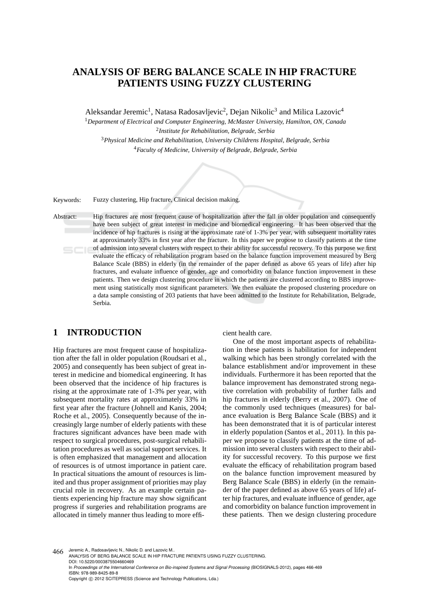# **ANALYSIS OF BERG BALANCE SCALE IN HIP FRACTURE PATIENTS USING FUZZY CLUSTERING**

Aleksandar Jeremic<sup>1</sup>, Natasa Radosavljevic<sup>2</sup>, Dejan Nikolic<sup>3</sup> and Milica Lazovic<sup>4</sup>

*Department of Electrical and Computer Engineering, McMaster University, Hamilton, ON, Canada Institute for Rehabilitation, Belgrade, Serbia Physical Medicine and Rehabilitation, University Childrens Hospital, Belgrade, Serbia Faculty of Medicine, University of Belgrade, Belgrade, Serbia*

Keywords: Fuzzy clustering, Hip fracture, Clinical decision making.

Abstract: Hip fractures are most frequent cause of hospitalization after the fall in older population and consequently have been subject of great interest in medicine and biomedical engineering. It has been observed that the incidence of hip fractures is rising at the approximate rate of 1-3% per year, with subsequent mortality rates at approximately 33% in first year after the fracture. In this paper we propose to classify patients at the time of admission into several clusters with respect to their ability for successful recovery. To this purpose we first evaluate the efficacy of rehabilitation program based on the balance function improvement measured by Berg Balance Scale (BBS) in elderly (in the remainder of the paper defined as above 65 years of life) after hip fractures, and evaluate influence of gender, age and comorbidity on balance function improvement in these patients. Then we design clustering procedure in which the patients are clustered according to BBS improvement using statistically most significant parameters. We then evaluate the proposed clustering procedure on a data sample consisting of 203 patients that have been admitted to the Institute for Rehabilitation, Belgrade, Serbia.

# **1 INTRODUCTION**

Hip fractures are most frequent cause of hospitalization after the fall in older population (Roudsari et al., 2005) and consequently has been subject of great interest in medicine and biomedical engineering. It has been observed that the incidence of hip fractures is rising at the approximate rate of 1-3% per year, with subsequent mortality rates at approximately 33% in first year after the fracture (Johnell and Kanis, 2004; Roche et al., 2005). Consequently because of the increasingly large number of elderly patients with these fractures significant advances have been made with respect to surgical procedures, post-surgical rehabilitation procedures as well as social support services. It is often emphasized that management and allocation of resources is of utmost importance in patient care. In practical situations the amount of resources is limited and thus proper assignment of priorities may play crucial role in recovery. As an example certain patients experiencing hip fracture may show significant progress if surgeries and rehabilitation programs are allocated in timely manner thus leading to more efficient health care.

One of the most important aspects of rehabilitation in these patients is habilitation for independent walking which has been strongly correlated with the balance establishment and/or improvement in these individuals. Furthermore it has been reported that the balance improvement has demonstrated strong negative correlation with probability of further falls and hip fractures in elderly (Berry et al., 2007). One of the commonly used techniques (measures) for balance evaluation is Berg Balance Scale (BBS) and it has been demonstrated that it is of particular interest in elderly population (Santos et al., 2011). In this paper we propose to classify patients at the time of admission into several clusters with respect to their ability for successful recovery. To this purpose we first evaluate the efficacy of rehabilitation program based on the balance function improvement measured by Berg Balance Scale (BBS) in elderly (in the remainder of the paper defined as above 65 years of life) after hip fractures, and evaluate influence of gender, age and comorbidity on balance function improvement in these patients. Then we design clustering procedure

466 Jeremic A., Radosavljevic N., Nikolic D. and Lazovic M. ANALYSIS OF BERG BALANCE SCALE IN HIP FRACTURE PATIENTS USING FUZZY CLUSTERING. DOI: 10.5220/0003875504660469 In *Proceedings of the International Conference on Bio-inspired Systems and Signal Processing* (BIOSIGNALS-2012), pages 466-469 ISBN: 978-989-8425-89-8 Copyright © 2012 SCITEPRESS (Science and Technology Publications, Lda.)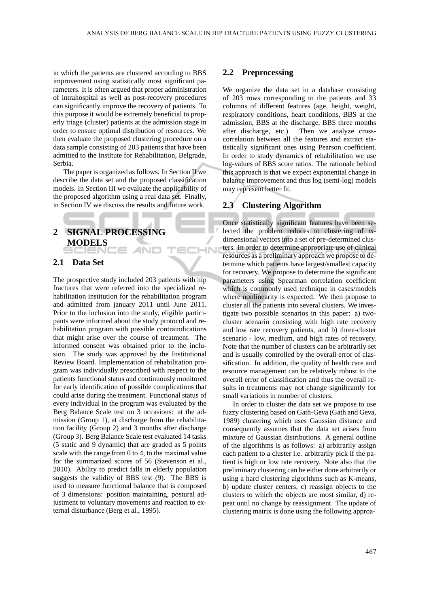ECHN

in which the patients are clustered according to BBS improvement using statistically most significant parameters. It is often argued that proper administration of intrahospital as well as post-recovery procedures can significantly improve the recovery of patients. To this purpose it would be extremely beneficial to properly triage (cluster) patients at the admission stage in order to ensure optimal distribution of resources. We then evaluate the proposed clustering procedure on a data sample consisting of 203 patients that have been admitted to the Institute for Rehabilitation, Belgrade, Serbia.

The paper is organized as follows. In Section II we describe the data set and the proposed classification models. In Section III we evaluate the applicability of the proposed algorithm using a real data set. Finally, in Section IV we discuss the results and future work.

# **2 SIGNAL PROCESSING MODELS**

#### **2.1 Data Set**

The prospective study included 203 patients with hip fractures that were referred into the specialized rehabilitation institution for the rehabilitation program and admitted from january 2011 until June 2011. Prior to the inclusion into the study, eligible participants were informed about the study protocol and rehabilitation program with possible contraindications that might arise over the course of treatment. The informed consent was obtained prior to the inclusion. The study was approved by the Institutional Review Board. Implementation of rehabilitation program was individually prescribed with respect to the patients functional status and continuously monitored for early identification of possible complications that could arise during the treatment. Functional status of every individual in the program was evaluated by the Berg Balance Scale test on 3 occasions: at the admission (Group 1), at discharge from the rehabilitation facility (Group 2) and 3 months after discharge (Group 3). Berg Balance Scale test evaluated 14 tasks (5 static and 9 dynamic) that are graded as 5 points scale with the range from 0 to 4, to the maximal value for the summarized scores of 56 (Stevenson et al., 2010). Ability to predict falls in elderly population suggests the validity of BBS test (9). The BBS is used to measure functional balance that is composed of 3 dimensions: position maintaining, postural adjustment to voluntary movements and reaction to external disturbance (Berg et al., 1995).

#### **2.2 Preprocessing**

We organize the data set in a database consisting of 203 rows corresponding to the patients and 33 columns of different features (age, height, weight, respiratory conditions, heart conditions, BBS at the admission, BBS at the discharge, BBS three months after discharge, etc.) Then we analyze crosscorrelation between all the features and extract statistically significant ones using Pearson coefficient. In order to study dynamics of rehabilitation we use log-values of BBS score ratios. The rationale behind this approach is that we expect exponential change in balance improvement and thus log (semi-log) models may represent better fit.

### **2.3 Clustering Algorithm**

Once statistically significant features have been selected the problem reduces to clustering of *m*dimensional vectors into a set of pre-determined clusters. In order to determine appropriate use of clinical resources as a preliminary approach we propose to determine which patients have largest/smallest capacity for recovery. We propose to determine the significant parameters using Spearman correlation coefficient which is commonly used technique in cases/models where nonlinearity is expected. We then propose to cluster all the patients into several clusters. We investigate two possible scenarios in this paper: a) twocluster scenario consisting with high rate recovery and low rate recovery patients, and b) three-cluster scenario - low, medium, and high rates of recovery. Note that the number of clusters can be arbitrarily set and is usually controlled by the overall error of classification. In addition, the quality of health care and resource management can be relatively robust to the overall error of classification and thus the overall results in treatments may not change significantly for small variations in number of clusters.

In order to cluster the data set we propose to use fuzzy clustering based on Gath-Geva (Gath and Geva, 1989) clustering which uses Gaussian distance and consequently assumes that the data set arises from mixture of Gaussian distributions. A general outline of the algorithms is as follows: a) arbitrarily assign each patient to a cluster i.e. arbitrarily pick if the patient is high or low rate recovery. Note also that the preliminary clustering can be either done arbitrarily or using a hard clustering algorithms such as K-means, b) update cluster centers, c) reassign objects to the clusters to which the objects are most similar, d) repeat until no change by reassignment. The update of clustering matrix is done using the following approa-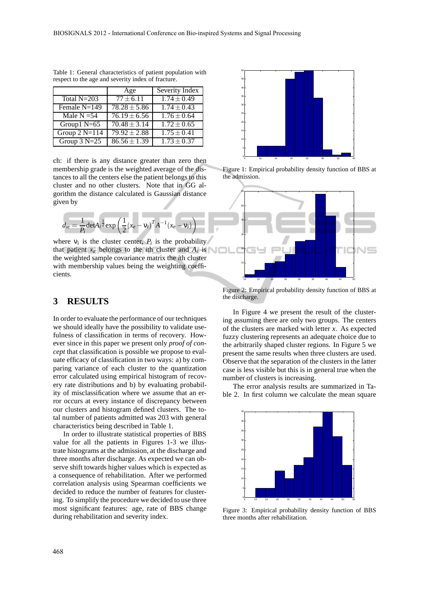|                 | Age                     | Severity Index         |
|-----------------|-------------------------|------------------------|
| Total $N=203$   | $77 \pm 6.11$           | $1.74 \pm 0.49$        |
| Female N=149    | $78.28 \pm 5.86$        | $1.74 \pm 0.43$        |
| Male $N = 54$   | $76.19 \pm 6.56$        | $1.76 \pm 0.64$        |
| Group1 $N=65$   | $70.48 \pm 3.14$        | $1.72 \pm 0.65$        |
| Group $2$ N=114 | $\sqrt{79.92} \pm 2.88$ | $\sqrt{1.75 \pm 0.41}$ |
| Group $3 N=25$  | $86.56 \pm 1.39$        | $1.73 \pm 0.37$        |

Table 1: General characteristics of patient population with respect to the age and severity index of fracture.

ch: if there is any distance greater than zero then membership grade is the weighted average of the distances to all the centers else the patient belongs to this cluster and no other clusters. Note that in GG algorithm the distance calculated is Gaussian distance given by

$$
d_{ie} = \frac{1}{P_i} \det A_i^{\frac{1}{2}} \exp \left( \frac{1}{2} (x_e - v_i)^T A^{-1} (x_e - v_i) \right)
$$

where  $v_i$  is the cluster center,  $P_i$  is the probability that patient  $x_e$  belongs to the *i*th cluster and  $A_i$  is the weighted sample covariance matrix the *i*th cluster with membership values being the weighting coefficients.

## **3 RESULTS**

In order to evaluate the performance of our techniques we should ideally have the possibility to validate usefulness of classification in terms of recovery. However since in this paper we present only *proof of concept* that classification is possible we propose to evaluate efficacy of classification in two ways: a) by comparing variance of each cluster to the quantization error calculated using empirical histogram of recovery rate distributions and b) by evaluating probability of misclassification where we assume that an error occurs at every instance of discrepancy between our clusters and histogram defined clusters. The total number of patients admitted was 203 with general characteristics being described in Table 1.

In order to illustrate statistical properties of BBS value for all the patients in Figures 1-3 we illustrate histograms at the admission, at the discharge and three months after discharge. As expected we can observe shift towards higher values which is expected as a consequence of rehabilitation. After we performed correlation analysis using Spearman coefficients we decided to reduce the number of features for clustering. To simplify the procedure we decided to use three most significant features: age, rate of BBS change during rehabilitation and severity index.



Figure 1: Empirical probability density function of BBS at the admission.



Figure 2: Empirical probability density function of BBS at the discharge.

In Figure 4 we present the result of the clustering assuming there are only two groups. The centers of the clusters are marked with letter *x*. As expected fuzzy clustering represents an adequate choice due to the arbitrarily shaped cluster regions. In Figure 5 we present the same results when three clusters are used. Observe that the separation of the clusters in the latter case is less visible but this is in general true when the number of clusters is increasing.

The error analysis results are summarized in Table 2. In first column we calculate the mean square



Figure 3: Empirical probability density function of BBS three months after rehabilitation.